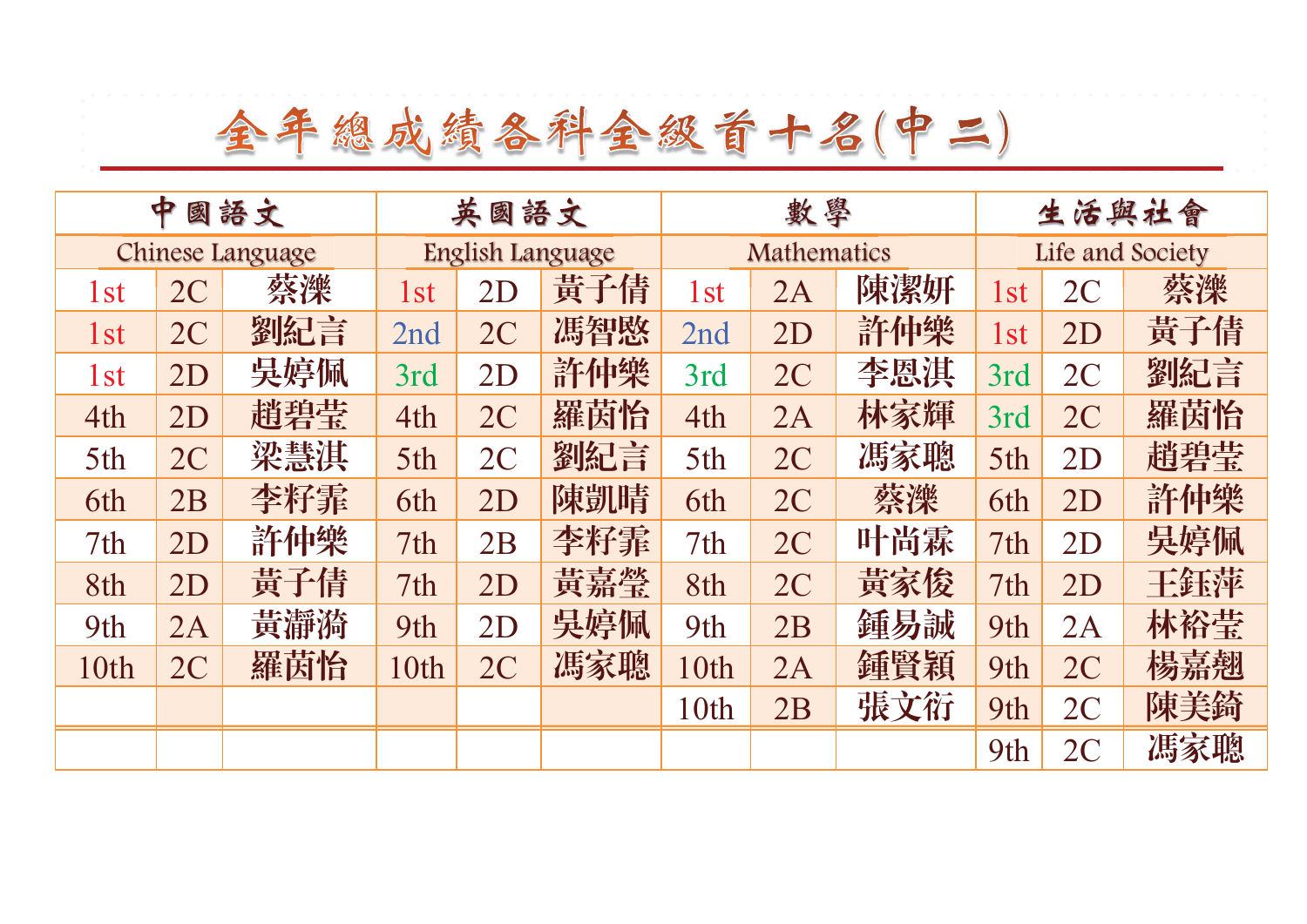| ф<br>國語文        |                  |     | 英國語文            |                  |     | 數學              |                    |     | 生活與社會           |                  |     |  |
|-----------------|------------------|-----|-----------------|------------------|-----|-----------------|--------------------|-----|-----------------|------------------|-----|--|
|                 | Chinese Language |     |                 | English Language |     |                 | <b>Mathematics</b> |     |                 | Life and Society |     |  |
| 1 <sub>st</sub> | 2C               | 蔡濼  | 1 <sub>st</sub> | 2D               | 黃子倩 | 1 <sub>st</sub> | 2A                 | 陳潔妍 | 1 <sub>st</sub> | 2C               | 蔡濼  |  |
| 1 <sub>st</sub> | 2C               | 劉紀言 | 2nd             | 2C               | 馮智愍 | 2nd             | 2D                 | 許仲樂 | 1 <sub>st</sub> | 2D               | 黃子倩 |  |
| 1 <sub>st</sub> | 2D               | 吳婷佩 | 3rd             | 2D               | 許仲樂 | 3rd             | 2C                 | 李恩淇 | 3rd             | 2C               | 劉紀言 |  |
| 4th             | 2D               | 趙碧莹 | 4th             | 2C               | 羅茵怡 | 4th             | 2A                 | 林家輝 | 3rd             | 2C               | 羅茵怡 |  |
| 5th             | 2C               | 梁慧淇 | 5th             | 2C               | 劉紀言 | 5th             | 2C                 | 馮家聰 | 5th             | 2D               | 趙碧莹 |  |
| 6th             | 2B               | 李籽霏 | 6th             | 2D               | 陳凱晴 | 6th             | 2C                 | 蔡濼  | 6th             | 2D               | 許仲樂 |  |
| 7th             | 2D               | 許仲樂 | 7th             | 2B               | 李籽霏 | 7th             | 2C                 | 叶尚霖 | 7th             | 2D               | 吳婷佩 |  |
| 8th             | 2D               | 黃子倩 | 7th             | 2D               | 黃嘉瑩 | 8th             | 2C                 | 黃家俊 | 7th             | 2D               | 王鈺萍 |  |
| 9th             | 2A               | 黃瀞漪 | 9th             | 2D               | 吳婷佩 | 9th             | 2B                 | 鍾易誠 | 9th             | 2A               | 林裕莹 |  |
| 10th            | 2C               | 羅茵怡 | 10th            | 2C               | 馮家聰 | 10th            | 2A                 | 鍾賢穎 | 9th             | 2C               | 楊嘉翹 |  |
|                 |                  |     |                 |                  |     | 10th            | 2B                 | 張文衍 | 9th             | 2C               | 陳美錡 |  |
|                 |                  |     |                 |                  |     |                 |                    |     | 9th             | 2C               | 馮家聰 |  |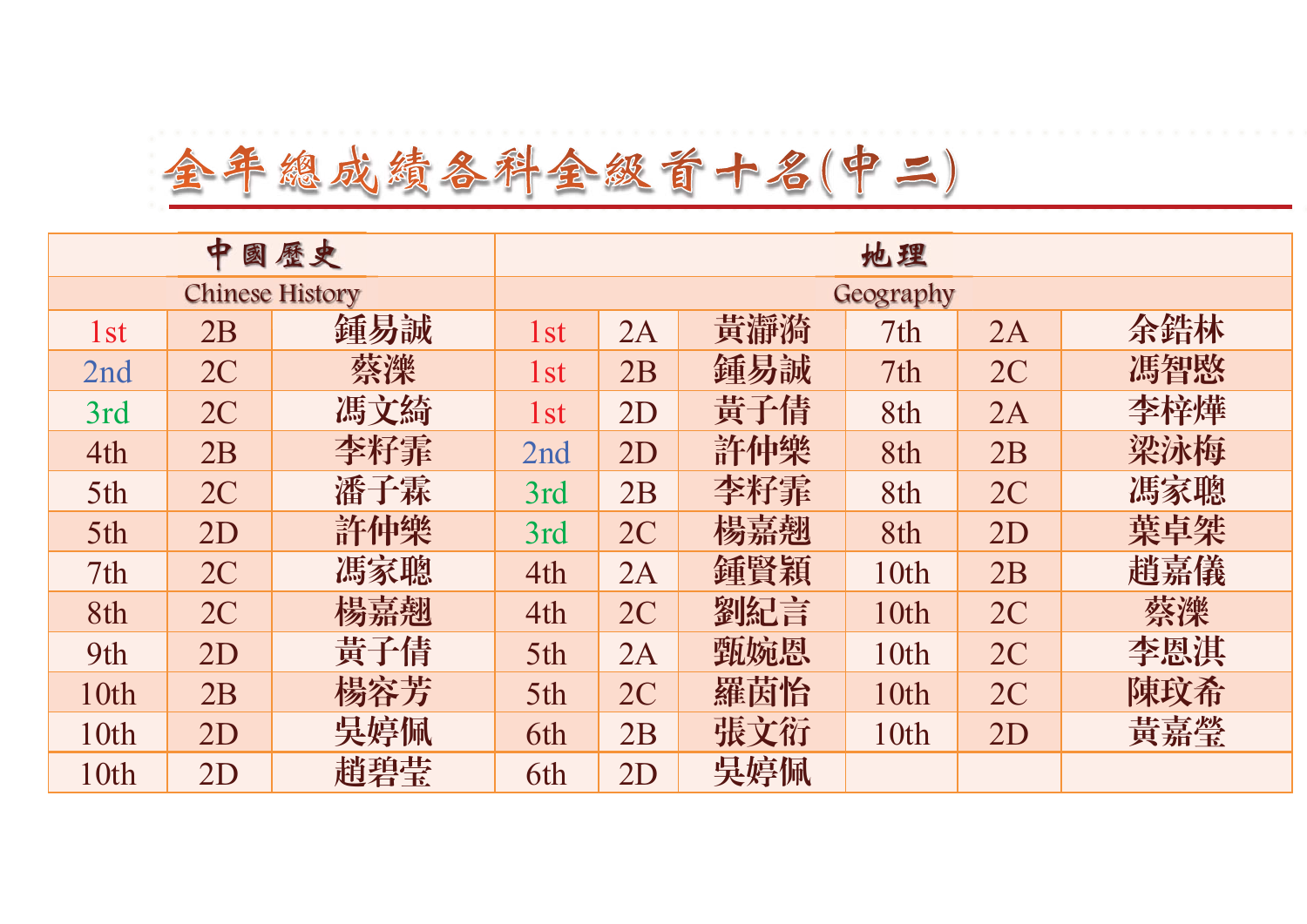## 全年總成績各科金級首十名(中二)

|                 | ф  | 國歷史                    | 地理        |    |     |      |    |     |  |  |
|-----------------|----|------------------------|-----------|----|-----|------|----|-----|--|--|
|                 |    | <b>Chinese History</b> | Geography |    |     |      |    |     |  |  |
| 1 <sub>st</sub> | 2B | 鍾易誠                    | 1st       | 2A | 黃瀞漪 | 7th  | 2A | 余錯林 |  |  |
| 2nd             | 2C | 蔡濼                     | 1st       | 2B | 鍾易誠 | 7th  | 2C | 馮智愍 |  |  |
| 3rd             | 2C | 馮文綺                    | 1st       | 2D | 黃子倩 | 8th  | 2A | 李梓燁 |  |  |
| 4th             | 2B | 李籽霏                    | 2nd       | 2D | 許仲樂 | 8th  | 2B | 梁泳梅 |  |  |
| 5th             | 2C | 潘子霖                    | 3rd       | 2B | 李籽霏 | 8th  | 2C | 馮家聰 |  |  |
| 5th             | 2D | 許仲樂                    | 3rd       | 2C | 楊嘉翘 | 8th  | 2D | 葉卓桀 |  |  |
| 7th             | 2C | 馮家聰                    | 4th       | 2A | 鍾賢穎 | 10th | 2B | 趙嘉儀 |  |  |
| 8th             | 2C | 楊嘉翹                    | 4th       | 2C | 劉紀言 | 10th | 2C | 蔡濼  |  |  |
| 9th             | 2D | 黃子倩                    | 5th       | 2A | 甄婉恩 | 10th | 2C | 李恩淇 |  |  |
| 10th            | 2B | 楊容芳                    | 5th       | 2C | 羅茵怡 | 10th | 2C | 陳玟希 |  |  |
| 10th            | 2D | 吳婷佩                    | 6th       | 2B | 張文衍 | 10th | 2D | 黃嘉瑩 |  |  |
| 10th            | 2D | 趙碧莹                    | 6th       | 2D | 吳婷佩 |      |    |     |  |  |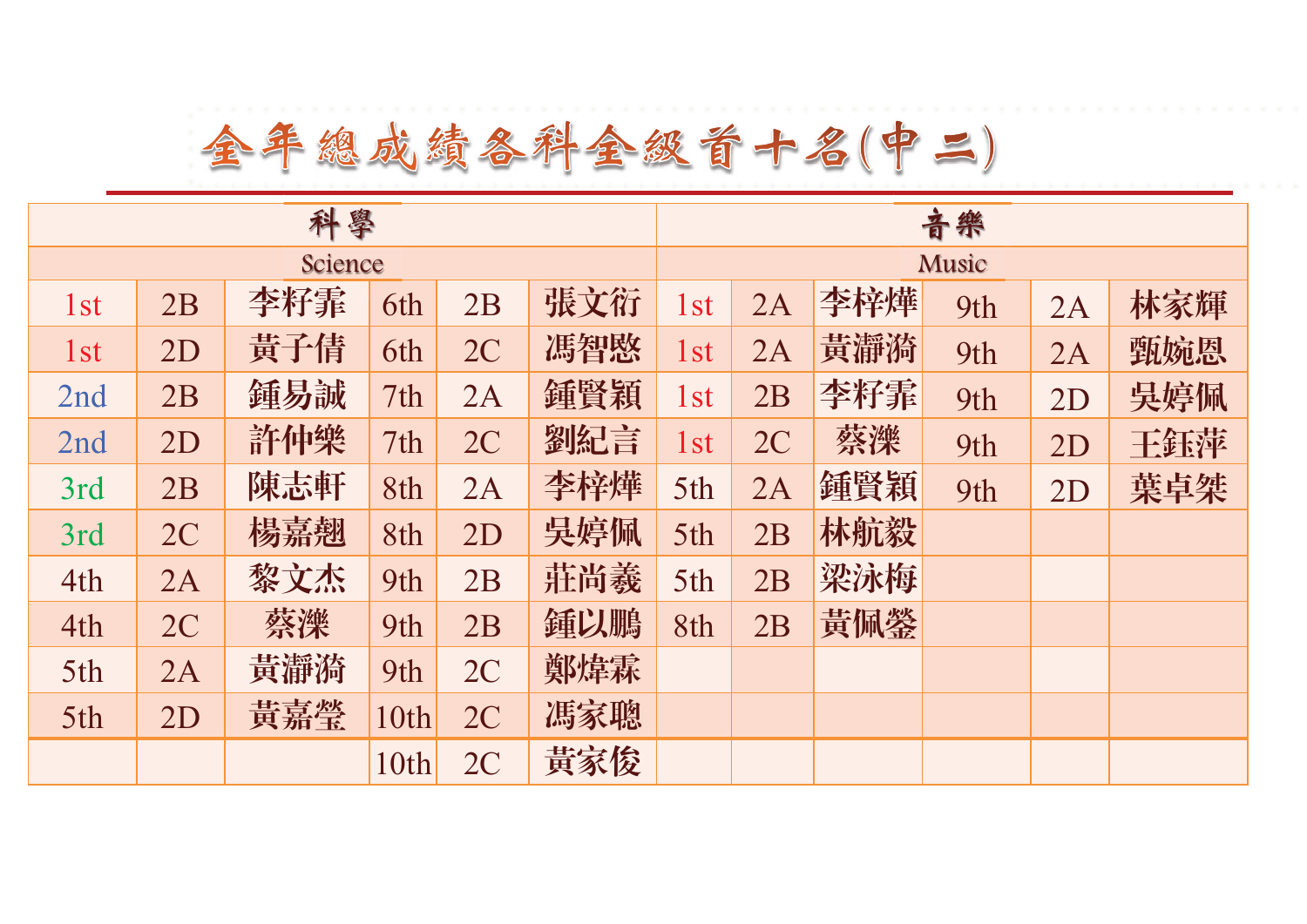| 科學              |    |     |      |    |     |                 | 音樂    |     |     |    |     |  |
|-----------------|----|-----|------|----|-----|-----------------|-------|-----|-----|----|-----|--|
| Science         |    |     |      |    |     |                 | Music |     |     |    |     |  |
| 1 <sub>st</sub> | 2B | 李籽霏 | 6th  | 2B | 張文衍 | 1st             | 2A    | 李梓燁 | 9th | 2A | 林家輝 |  |
| 1 <sub>st</sub> | 2D | 黃子倩 | 6th  | 2C | 馮智愍 | 1st             | 2A    | 黃瀞漪 | 9th | 2A | 甄婉恩 |  |
| 2nd             | 2B | 鍾易誠 | 7th  | 2A | 鍾賢穎 | 1st             | 2B    | 李籽霏 | 9th | 2D | 吳婷佩 |  |
| 2nd             | 2D | 許仲樂 | 7th  | 2C | 劉紀言 | 1 <sub>st</sub> | 2C    | 蔡濼  | 9th | 2D | 王鈺萍 |  |
| 3rd             | 2B | 陳志軒 | 8th  | 2A | 李梓燁 | 5th             | 2A    | 鍾賢穎 | 9th | 2D | 葉卓桀 |  |
| 3rd             | 2C | 楊嘉翘 | 8th  | 2D | 吳婷佩 | 5th             | 2B    | 林航毅 |     |    |     |  |
| 4th             | 2A | 黎文杰 | 9th  | 2B | 莊尚羲 | 5th             | 2B    | 梁泳梅 |     |    |     |  |
| 4th             | 2C | 蔡濼  | 9th  | 2B | 鍾以鵬 | 8th             | 2B    | 黃佩鎣 |     |    |     |  |
| 5th             | 2A | 黃瀞漪 | 9th  | 2C | 鄭煒霖 |                 |       |     |     |    |     |  |
| 5th             | 2D | 黃嘉瑩 | 10th | 2C | 馮家聰 |                 |       |     |     |    |     |  |
|                 |    |     | 10th | 2C | 黃家俊 |                 |       |     |     |    |     |  |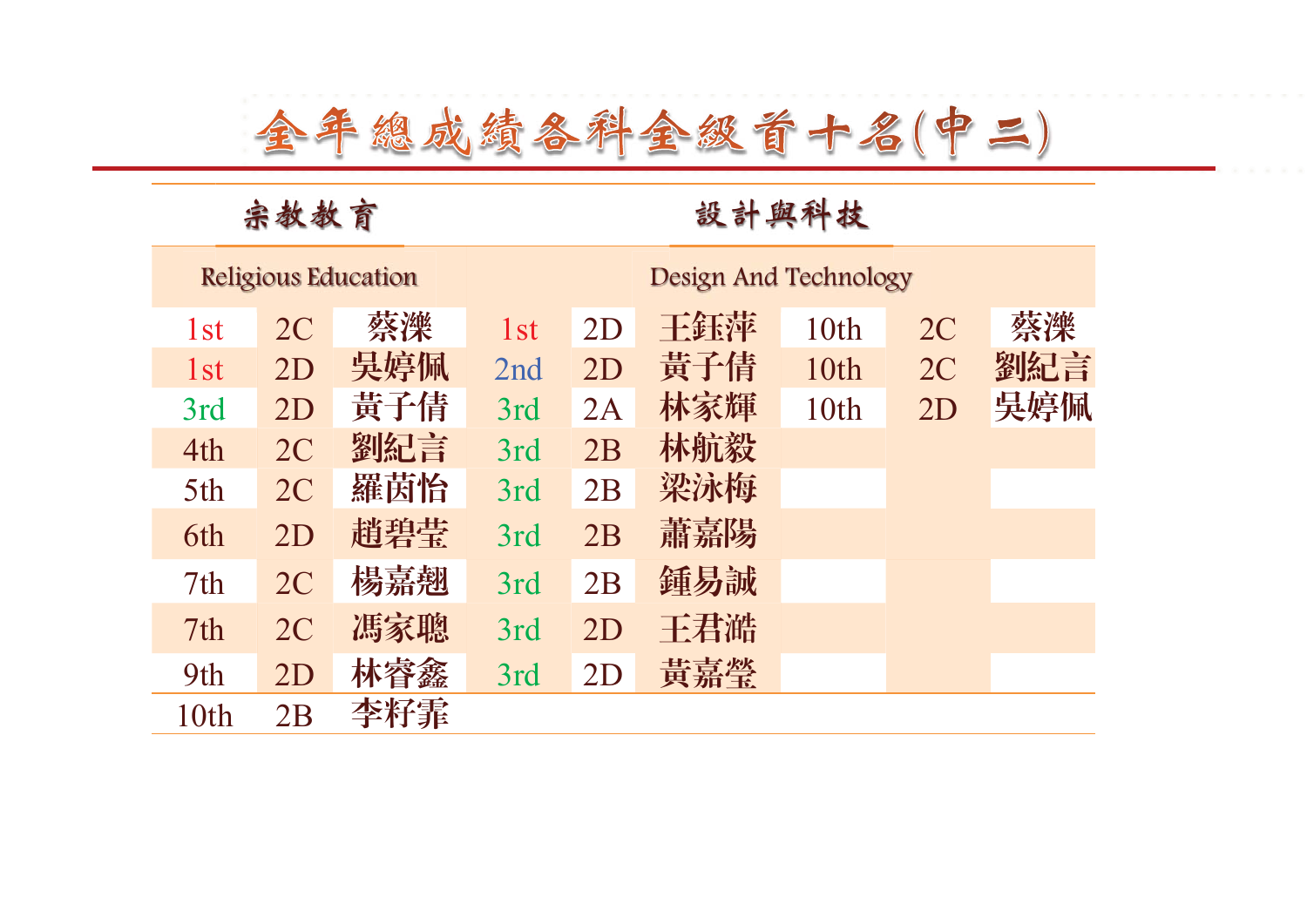#### 宗教教育 設計與科技

|                 |    | <b>Religious Education</b> | Design And Technology |    |     |      |    |     |  |  |
|-----------------|----|----------------------------|-----------------------|----|-----|------|----|-----|--|--|
| 1 <sub>st</sub> | 2C | 蔡濼                         | 1st                   | 2D | 王鈺萍 | 10th | 2C | 蔡濼  |  |  |
| 1 <sub>st</sub> | 2D | 吳婷佩                        | 2nd                   | 2D | 黃子倩 | 10th | 2C | 劉紀言 |  |  |
| 3rd             | 2D | 黃子倩                        | 3rd                   | 2A | 林家輝 | 10th | 2D | 吳婷佩 |  |  |
| 4th             | 2C | 劉紀言                        | 3rd                   | 2B | 林航毅 |      |    |     |  |  |
| 5th             | 2C | 羅茵怡                        | 3rd                   | 2B | 梁泳梅 |      |    |     |  |  |
| 6th             | 2D | 趙碧莹                        | 3rd                   | 2B | 蕭嘉陽 |      |    |     |  |  |
| 7 <sup>th</sup> | 2C | 楊嘉翹                        | 3rd                   | 2B | 鍾易誠 |      |    |     |  |  |
| 7th             | 2C | 馮家聰                        | 3rd                   | 2D | 王君澔 |      |    |     |  |  |
| 9th             | 2D | 林睿鑫                        | 3rd                   | 2D | 黃嘉瑩 |      |    |     |  |  |
| 10th            | 2B | 李籽霏                        |                       |    |     |      |    |     |  |  |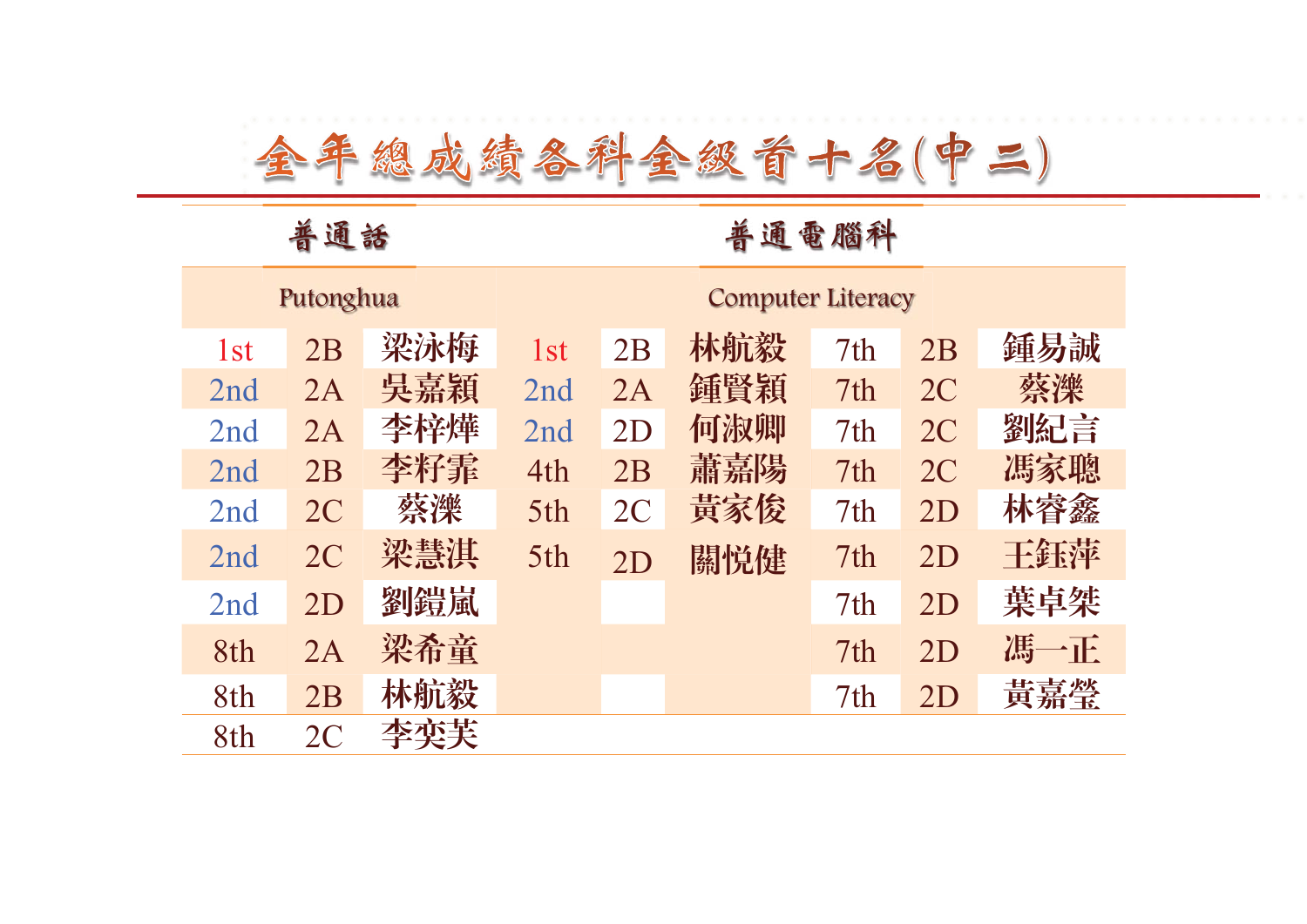#### 普通話 有效 医心包 计通电图科

|                 | Putonghua      |     |                 | <b>Computer Literacy</b> |     |                 |                |     |  |  |
|-----------------|----------------|-----|-----------------|--------------------------|-----|-----------------|----------------|-----|--|--|
| 1 <sub>st</sub> | 2B             | 梁泳梅 | 1 <sub>st</sub> | 2B                       | 林航毅 | 7 <sub>th</sub> | 2B             | 鍾易誠 |  |  |
| 2nd             | 2A             | 吳嘉穎 | 2nd             | 2A                       | 鍾賢穎 | 7th             | 2 <sub>C</sub> | 蔡濼  |  |  |
| 2nd             | 2A             | 李梓燁 | 2nd             | 2D                       | 何淑卿 | 7 <sub>th</sub> | 2 <sub>C</sub> | 劉紀言 |  |  |
| 2nd             | 2B             | 李籽霏 | 4th             | 2B                       | 蕭嘉陽 | 7th             | 2 <sub>C</sub> | 馮家聰 |  |  |
| 2nd             | 2C             | 蔡濼  | 5th             | 2 <sub>C</sub>           | 黃家俊 | 7 <sup>th</sup> | 2D             | 林睿鑫 |  |  |
| 2nd             | 2C             | 梁慧淇 | 5th             | 2D                       | 關悦健 | 7 <sub>th</sub> | 2D             | 王鈺萍 |  |  |
| 2nd             | 2D             | 劉鎧嵐 |                 |                          |     | 7th             | 2D             | 葉卓桀 |  |  |
| 8th             | 2A             | 梁希童 |                 |                          |     | 7th             | 2D             | 馮一正 |  |  |
| 8th             | 2B             | 林航毅 |                 |                          |     | 7 <sub>th</sub> | 2D             | 黃嘉瑩 |  |  |
| 8th             | 2 <sub>C</sub> | 李奕芙 |                 |                          |     |                 |                |     |  |  |